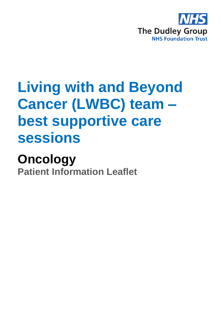

# **Living with and Beyond Cancer (LWBC) team – best supportive care sessions**

# **Oncology**

**Patient Information Leaflet**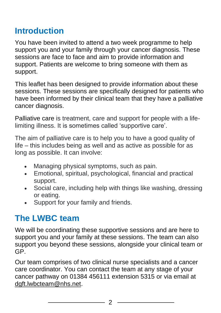### **Introduction**

You have been invited to attend a two week programme to help support you and your family through your cancer diagnosis. These sessions are face to face and aim to provide information and support. Patients are welcome to bring someone with them as support.

This leaflet has been designed to provide information about these sessions. These sessions are specifically designed for patients who have been informed by their clinical team that they have a palliative cancer diagnosis.

Palliative care is treatment, care and support for people with a lifelimiting illness. It is sometimes called 'supportive care'.

The aim of palliative care is to help you to have a good quality of life – this includes being as well and as active as possible for as long as possible. It can involve:

- Managing physical symptoms, such as pain.
- Emotional, spiritual, psychological, financial and practical support.
- Social care, including help with things like washing, dressing or eating.
- Support for your family and friends.

## **The LWBC team**

We will be coordinating these supportive sessions and are here to support you and your family at these sessions. The team can also support you beyond these sessions, alongside your clinical team or GP.

Our team comprises of two clinical nurse specialists and a cancer care coordinator. You can contact the team at any stage of your cancer pathway on 01384 456111 extension 5315 or via email at [dgft.lwbcteam@nhs.net.](mailto:dgft.lwbcteam@nhs.net)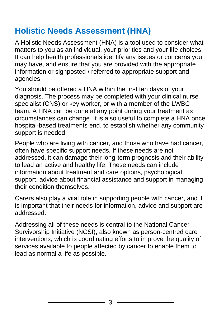## **Holistic Needs Assessment (HNA)**

A Holistic Needs Assessment (HNA) is a tool used to consider what matters to you as an individual, your priorities and your life choices. It can help health professionals identify any issues or concerns you may have, and ensure that you are provided with the appropriate information or signposted / referred to appropriate support and agencies.

You should be offered a HNA within the first ten days of your diagnosis. The process may be completed with your clinical nurse specialist (CNS) or key worker, or with a member of the LWBC team. A HNA can be done at any point during your treatment as circumstances can change. It is also useful to complete a HNA once hospital-based treatments end, to establish whether any community support is needed.

People who are living with cancer, and those who have had cancer, often have specific support needs. If these needs are not addressed, it can damage their long-term prognosis and their ability to lead an active and healthy life. These needs can include information about treatment and care options, psychological support, advice about financial assistance and support in managing their condition themselves.

Carers also play a vital role in supporting people with cancer, and it is important that their needs for information, advice and support are addressed.

Addressing all of these needs is central to the National Cancer Survivorship Initiative (NCSI), also known as person-centred care interventions, which is coordinating efforts to improve the quality of services available to people affected by cancer to enable them to lead as normal a life as possible.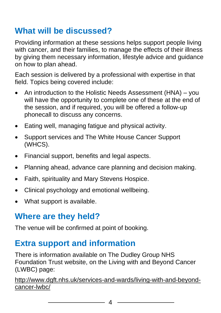## **What will be discussed?**

Providing information at these sessions helps support people living with cancer, and their families, to manage the effects of their illness by giving them necessary information, lifestyle advice and guidance on how to plan ahead.

Each session is delivered by a professional with expertise in that field. Topics being covered include:

- An introduction to the Holistic Needs Assessment (HNA) you will have the opportunity to complete one of these at the end of the session, and if required, you will be offered a follow-up phonecall to discuss any concerns.
- Eating well, managing fatigue and physical activity.
- Support services and The White House Cancer Support (WHCS).
- Financial support, benefits and legal aspects.
- Planning ahead, advance care planning and decision making.
- Faith, spirituality and Mary Stevens Hospice.
- Clinical psychology and emotional wellbeing.
- What support is available.

#### **Where are they held?**

The venue will be confirmed at point of booking.

#### **Extra support and information**

There is information available on The Dudley Group NHS Foundation Trust website, on the Living with and Beyond Cancer (LWBC) page:

[http://www.dgft.nhs.uk/services-and-wards/living-with-and-beyond](http://www.dgft.nhs.uk/services-and-wards/living-with-and-beyond-cancer-lwbc/)[cancer-lwbc/](http://www.dgft.nhs.uk/services-and-wards/living-with-and-beyond-cancer-lwbc/)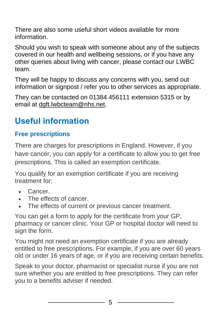There are also some useful short videos available for more information.

Should you wish to speak with someone about any of the subjects covered in our health and wellbeing sessions, or if you have any other queries about living with cancer, please contact our LWBC team.

They will be happy to discuss any concerns with you, send out information or signpost / refer you to other services as appropriate.

They can be contacted on 01384 456111 extension 5315 or by email at [dgft.lwbcteam@nhs.net.](mailto:dgft.lwbcteam@nhs.net)

# **Useful information**

#### **Free prescriptions**

There are charges for prescriptions in England. However, if you have cancer, you can apply for a certificate to allow you to get free prescriptions. This is called an exemption certificate.

You qualify for an exemption certificate if you are receiving treatment for:

- Cancer.
- The effects of cancer
- The effects of current or previous cancer treatment.

You can get a form to apply for the certificate from your GP, pharmacy or cancer clinic. Your GP or hospital doctor will need to sign the form.

You might not need an exemption certificate if you are already entitled to free prescriptions. For example, if you are over 60 years old or under 16 years of age, or if you are receiving certain benefits.

Speak to your doctor, pharmacist or specialist nurse if you are not sure whether you are entitled to free prescriptions. They can refer you to a benefits adviser if needed.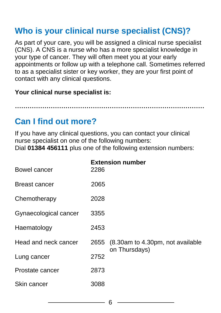#### **Who is your clinical nurse specialist (CNS)?**

As part of your care, you will be assigned a clinical nurse specialist (CNS). A CNS is a nurse who has a more specialist knowledge in your type of cancer. They will often meet you at your early appointments or follow up with a telephone call. Sometimes referred to as a specialist sister or key worker, they are your first point of contact with any clinical questions.

**Your clinical nurse specialist is:**

**………………………………………………………………………………**

#### **Can I find out more?**

If you have any clinical questions, you can contact your clinical nurse specialist on one of the following numbers: Dial **01384 456111** plus one of the following extension numbers:

| Bowel cancer          | 2286 | <b>Extension number</b>                                |
|-----------------------|------|--------------------------------------------------------|
| Breast cancer         | 2065 |                                                        |
| Chemotherapy          | 2028 |                                                        |
| Gynaecological cancer | 3355 |                                                        |
| Haematology           | 2453 |                                                        |
| Head and neck cancer  |      | 2655 (8.30am to 4.30pm, not available<br>on Thursdays) |
| Lung cancer           | 2752 |                                                        |
| Prostate cancer       | 2873 |                                                        |
| Skin cancer           | 3088 |                                                        |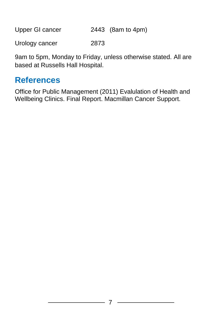Upper GI cancer 2443 (8am to 4pm)

Urology cancer 2873

9am to 5pm, Monday to Friday, unless otherwise stated. All are based at Russells Hall Hospital.

#### **References**

Office for Public Management (2011) Evalulation of Health and Wellbeing Clinics. Final Report. Macmillan Cancer Support.